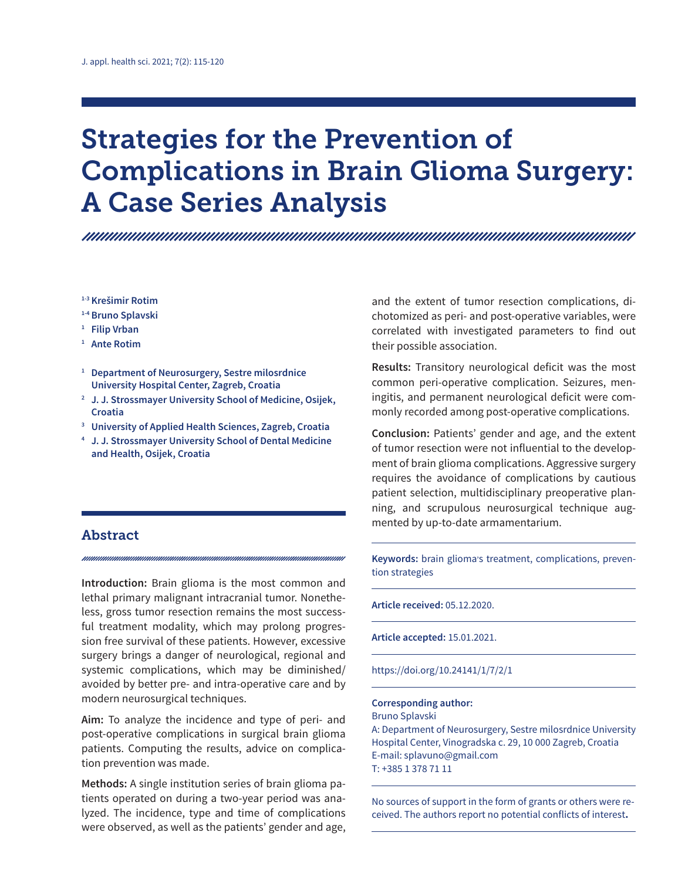# Strategies for the Prevention of Complications in Brain Glioma Surgery: A Case Series Analysis

**1-3 Krešimir Rotim**

- **1-4 Bruno Splavski**
- **<sup>1</sup> Filip Vrban**
- **<sup>1</sup> Ante Rotim**
- **<sup>1</sup> Department of Neurosurgery, Sestre milosrdnice University Hospital Center, Zagreb, Croatia**
- **<sup>2</sup> J. J. Strossmayer University School of Medicine, Osijek, Croatia**
- **<sup>3</sup> University of Applied Health Sciences, Zagreb, Croatia**
- **<sup>4</sup> J. J. Strossmayer University School of Dental Medicine and Health, Osijek, Croatia**

## Abstract

**Introduction:** Brain glioma is the most common and lethal primary malignant intracranial tumor. Nonetheless, gross tumor resection remains the most successful treatment modality, which may prolong progression free survival of these patients. However, excessive surgery brings a danger of neurological, regional and systemic complications, which may be diminished/ avoided by better pre- and intra-operative care and by modern neurosurgical techniques.

**Aim:** To analyze the incidence and type of peri- and post-operative complications in surgical brain glioma patients. Computing the results, advice on complication prevention was made.

**Methods:** A single institution series of brain glioma patients operated on during a two-year period was analyzed. The incidence, type and time of complications were observed, as well as the patients' gender and age,

and the extent of tumor resection complications, dichotomized as peri- and post-operative variables, were correlated with investigated parameters to find out their possible association.

**Results:** Transitory neurological deficit was the most common peri-operative complication. Seizures, meningitis, and permanent neurological deficit were commonly recorded among post-operative complications.

**Conclusion:** Patients' gender and age, and the extent of tumor resection were not influential to the development of brain glioma complications. Aggressive surgery requires the avoidance of complications by cautious patient selection, multidisciplinary preoperative planning, and scrupulous neurosurgical technique augmented by up-to-date armamentarium.

Keywords: brain glioma's treatment, complications, prevention strategies

**Article received:** 05.12.2020.

**Article accepted:** 15.01.2021.

https://doi.org/10.24141/1/7/2/1

#### **Corresponding author:**

Bruno Splavski A: Department of Neurosurgery, Sestre milosrdnice University Hospital Center, Vinogradska c. 29, 10 000 Zagreb, Croatia E-mail: splavuno@gmail.com T: +385 1 378 71 11

No sources of support in the form of grants or others were received. The authors report no potential conflicts of interest**.**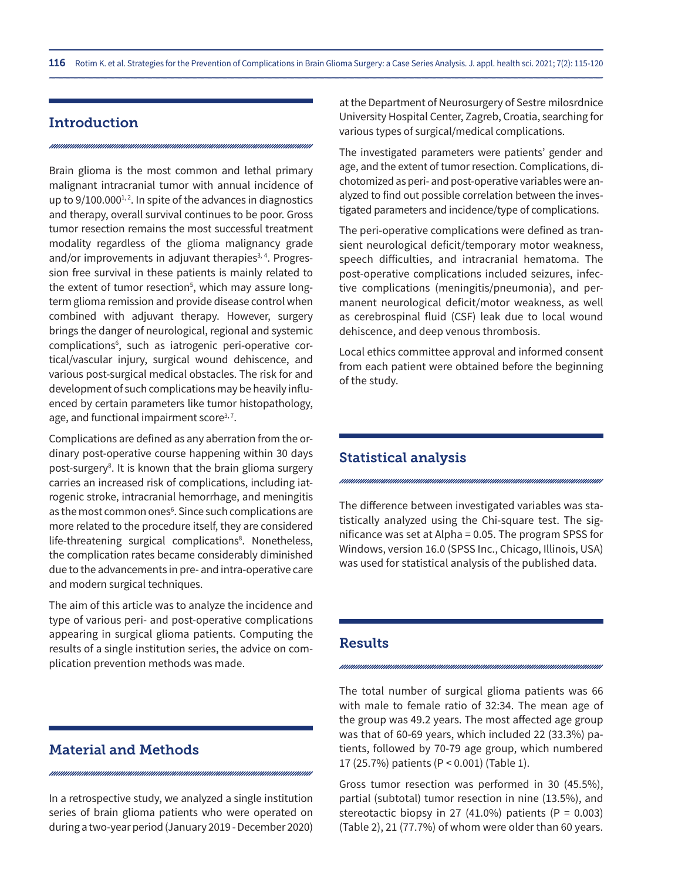# Introduction

Brain glioma is the most common and lethal primary malignant intracranial tumor with annual incidence of up to  $9/100.000^{1,2}$ . In spite of the advances in diagnostics and therapy, overall survival continues to be poor. Gross tumor resection remains the most successful treatment modality regardless of the glioma malignancy grade and/or improvements in adjuvant therapies<sup>3, 4</sup>. Progression free survival in these patients is mainly related to the extent of tumor resection<sup>5</sup>, which may assure longterm glioma remission and provide disease control when combined with adjuvant therapy. However, surgery brings the danger of neurological, regional and systemic complications<sup>6</sup>, such as iatrogenic peri-operative cortical/vascular injury, surgical wound dehiscence, and various post-surgical medical obstacles. The risk for and development of such complications may be heavily influenced by certain parameters like tumor histopathology, age, and functional impairment score $3,7$ .

Complications are defined as any aberration from the ordinary post-operative course happening within 30 days post-surgery<sup>8</sup>. It is known that the brain glioma surgery carries an increased risk of complications, including iatrogenic stroke, intracranial hemorrhage, and meningitis as the most common ones<sup>6</sup>. Since such complications are more related to the procedure itself, they are considered life-threatening surgical complications<sup>8</sup>. Nonetheless, the complication rates became considerably diminished due to the advancements in pre- and intra-operative care and modern surgical techniques.

The aim of this article was to analyze the incidence and type of various peri- and post-operative complications appearing in surgical glioma patients. Computing the results of a single institution series, the advice on complication prevention methods was made.

# Material and Methods

In a retrospective study, we analyzed a single institution series of brain glioma patients who were operated on during a two-year period (January 2019 - December 2020) at the Department of Neurosurgery of Sestre milosrdnice University Hospital Center, Zagreb, Croatia, searching for various types of surgical/medical complications.

The investigated parameters were patients' gender and age, and the extent of tumor resection. Complications, dichotomized as peri- and post-operative variables were analyzed to find out possible correlation between the investigated parameters and incidence/type of complications.

The peri-operative complications were defined as transient neurological deficit/temporary motor weakness, speech difficulties, and intracranial hematoma. The post-operative complications included seizures, infective complications (meningitis/pneumonia), and permanent neurological deficit/motor weakness, as well as cerebrospinal fluid (CSF) leak due to local wound dehiscence, and deep venous thrombosis.

Local ethics committee approval and informed consent from each patient were obtained before the beginning of the study.

# Statistical analysis

The difference between investigated variables was statistically analyzed using the Chi-square test. The significance was set at Alpha = 0.05. The program SPSS for Windows, version 16.0 (SPSS Inc., Chicago, Illinois, USA) was used for statistical analysis of the published data.

#### Results

The total number of surgical glioma patients was 66 with male to female ratio of 32:34. The mean age of the group was 49.2 years. The most affected age group was that of 60-69 years, which included 22 (33.3%) patients, followed by 70-79 age group, which numbered 17 (25.7%) patients (P < 0.001) (Table 1).

Gross tumor resection was performed in 30 (45.5%), partial (subtotal) tumor resection in nine (13.5%), and stereotactic biopsy in 27 (41.0%) patients (P =  $0.003$ ) (Table 2), 21 (77.7%) of whom were older than 60 years.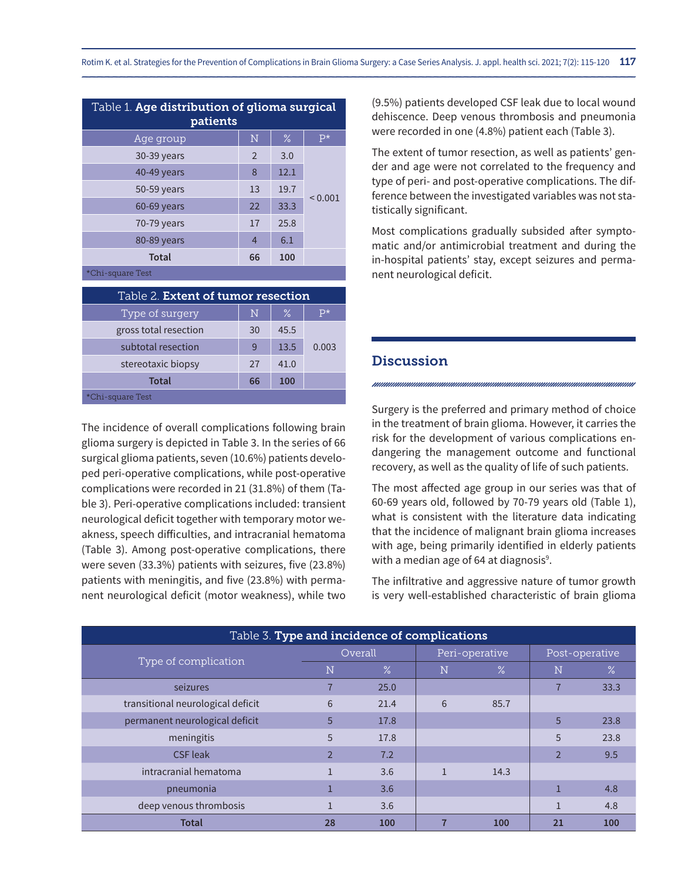| Table 1. Age distribution of glioma surgical<br>patients |                |      |              |  |  |  |
|----------------------------------------------------------|----------------|------|--------------|--|--|--|
| Age group                                                | N              | $\%$ | $P*$         |  |  |  |
| 30-39 years                                              | $\overline{2}$ | 3.0  | ${}_{0.001}$ |  |  |  |
| 40-49 years                                              | 8              | 12.1 |              |  |  |  |
| 50-59 years                                              | 13             | 19.7 |              |  |  |  |
| 60-69 years                                              | 22             | 33.3 |              |  |  |  |
| 70-79 years                                              | 17             | 25.8 |              |  |  |  |
| 80-89 years                                              | 4              | 6.1  |              |  |  |  |
| <b>Total</b>                                             | 66             | 100  |              |  |  |  |
| *Chi-square Test                                         |                |      |              |  |  |  |

| Table 2. <b>Extent of tumor resection</b> |    |      |       |  |  |  |
|-------------------------------------------|----|------|-------|--|--|--|
| Type of surgery                           | N  | $\%$ | $p*$  |  |  |  |
| gross total resection                     | 30 | 45.5 |       |  |  |  |
| subtotal resection                        | q  | 13.5 | 0.003 |  |  |  |
| stereotaxic biopsy                        | 27 | 41.0 |       |  |  |  |
| Total                                     | 66 | 100  |       |  |  |  |
| *Chi-square Test                          |    |      |       |  |  |  |

The incidence of overall complications following brain glioma surgery is depicted in Table 3. In the series of 66 surgical glioma patients, seven (10.6%) patients developed peri-operative complications, while post-operative complications were recorded in 21 (31.8%) of them (Table 3). Peri-operative complications included: transient neurological deficit together with temporary motor weakness, speech difficulties, and intracranial hematoma (Table 3). Among post-operative complications, there were seven (33.3%) patients with seizures, five (23.8%) patients with meningitis, and five (23.8%) with permanent neurological deficit (motor weakness), while two (9.5%) patients developed CSF leak due to local wound dehiscence. Deep venous thrombosis and pneumonia were recorded in one (4.8%) patient each (Table 3).

The extent of tumor resection, as well as patients' gender and age were not correlated to the frequency and type of peri- and post-operative complications. The difference between the investigated variables was not statistically significant.

Most complications gradually subsided after symptomatic and/or antimicrobial treatment and during the in-hospital patients' stay, except seizures and permanent neurological deficit.

# **Discussion**

Surgery is the preferred and primary method of choice in the treatment of brain glioma. However, it carries the risk for the development of various complications endangering the management outcome and functional recovery, as well as the quality of life of such patients.

The most affected age group in our series was that of 60-69 years old, followed by 70-79 years old (Table 1), what is consistent with the literature data indicating that the incidence of malignant brain glioma increases with age, being primarily identified in elderly patients with a median age of 64 at diagnosis $^{\circ}$ .

The infiltrative and aggressive nature of tumor growth is very well-established characteristic of brain glioma

| Table 3. Type and incidence of complications |                |                 |                |      |                |      |  |  |  |
|----------------------------------------------|----------------|-----------------|----------------|------|----------------|------|--|--|--|
| Type of complication                         | Overall        |                 | Peri-operative |      | Post-operative |      |  |  |  |
|                                              | N              | $\overline{\%}$ | N              | %    | N              | $\%$ |  |  |  |
| seizures                                     |                | 25.0            |                |      |                | 33.3 |  |  |  |
| transitional neurological deficit            | 6              | 21.4            | 6              | 85.7 |                |      |  |  |  |
| permanent neurological deficit               | 5              | 17.8            |                |      | 5              | 23.8 |  |  |  |
| meningitis                                   | 5              | 17.8            |                |      | 5              | 23.8 |  |  |  |
| <b>CSF</b> leak                              | $\overline{2}$ | 7.2             |                |      | $\overline{2}$ | 9.5  |  |  |  |
| intracranial hematoma                        |                | 3.6             | $\mathbf{1}$   | 14.3 |                |      |  |  |  |
| pneumonia                                    |                | 3.6             |                |      |                | 4.8  |  |  |  |
| deep venous thrombosis                       |                | 3.6             |                |      |                | 4.8  |  |  |  |
| <b>Total</b>                                 | 28             | 100             |                | 100  | 21             | 100  |  |  |  |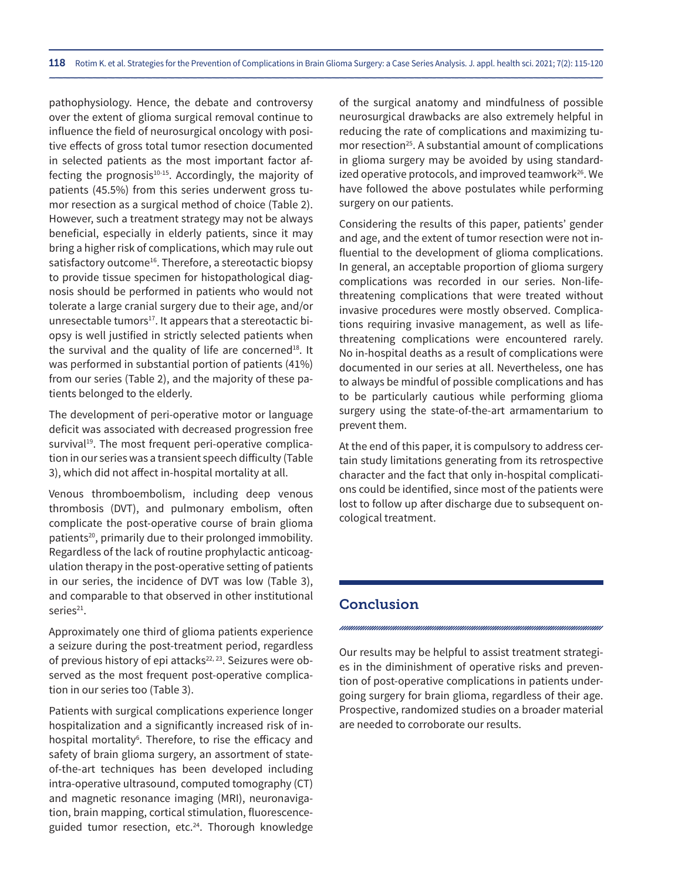pathophysiology. Hence, the debate and controversy over the extent of glioma surgical removal continue to influence the field of neurosurgical oncology with positive effects of gross total tumor resection documented in selected patients as the most important factor affecting the prognosis $10-15$ . Accordingly, the majority of patients (45.5%) from this series underwent gross tumor resection as a surgical method of choice (Table 2). However, such a treatment strategy may not be always beneficial, especially in elderly patients, since it may bring a higher risk of complications, which may rule out satisfactory outcome<sup>16</sup>. Therefore, a stereotactic biopsy to provide tissue specimen for histopathological diagnosis should be performed in patients who would not tolerate a large cranial surgery due to their age, and/or unresectable tumors<sup>17</sup>. It appears that a stereotactic biopsy is well justified in strictly selected patients when the survival and the quality of life are concerned<sup>18</sup>. It was performed in substantial portion of patients (41%) from our series (Table 2), and the majority of these patients belonged to the elderly.

The development of peri-operative motor or language deficit was associated with decreased progression free survival<sup>19</sup>. The most frequent peri-operative complication in our series was a transient speech difficulty (Table 3), which did not affect in-hospital mortality at all.

Venous thromboembolism, including deep venous thrombosis (DVT), and pulmonary embolism, often complicate the post-operative course of brain glioma patients<sup>20</sup>, primarily due to their prolonged immobility. Regardless of the lack of routine prophylactic anticoagulation therapy in the post-operative setting of patients in our series, the incidence of DVT was low (Table 3), and comparable to that observed in other institutional series<sup>21</sup>.

Approximately one third of glioma patients experience a seizure during the post-treatment period, regardless of previous history of epi attacks<sup>22, 23</sup>. Seizures were observed as the most frequent post-operative complication in our series too (Table 3).

Patients with surgical complications experience longer hospitalization and a significantly increased risk of inhospital mortality<sup>6</sup>. Therefore, to rise the efficacy and safety of brain glioma surgery, an assortment of stateof-the-art techniques has been developed including intra-operative ultrasound, computed tomography (CT) and magnetic resonance imaging (MRI), neuronavigation, brain mapping, cortical stimulation, fluorescenceguided tumor resection, etc.<sup>24</sup>. Thorough knowledge

of the surgical anatomy and mindfulness of possible neurosurgical drawbacks are also extremely helpful in reducing the rate of complications and maximizing tumor resection<sup>25</sup>. A substantial amount of complications in glioma surgery may be avoided by using standardized operative protocols, and improved teamwork<sup>26</sup>. We have followed the above postulates while performing surgery on our patients.

Considering the results of this paper, patients' gender and age, and the extent of tumor resection were not influential to the development of glioma complications. In general, an acceptable proportion of glioma surgery complications was recorded in our series. Non-lifethreatening complications that were treated without invasive procedures were mostly observed. Complications requiring invasive management, as well as lifethreatening complications were encountered rarely. No in-hospital deaths as a result of complications were documented in our series at all. Nevertheless, one has to always be mindful of possible complications and has to be particularly cautious while performing glioma surgery using the state-of-the-art armamentarium to prevent them.

At the end of this paper, it is compulsory to address certain study limitations generating from its retrospective character and the fact that only in-hospital complications could be identified, since most of the patients were lost to follow up after discharge due to subsequent oncological treatment.

# **Conclusion**

Our results may be helpful to assist treatment strategies in the diminishment of operative risks and prevention of post-operative complications in patients undergoing surgery for brain glioma, regardless of their age. Prospective, randomized studies on a broader material are needed to corroborate our results.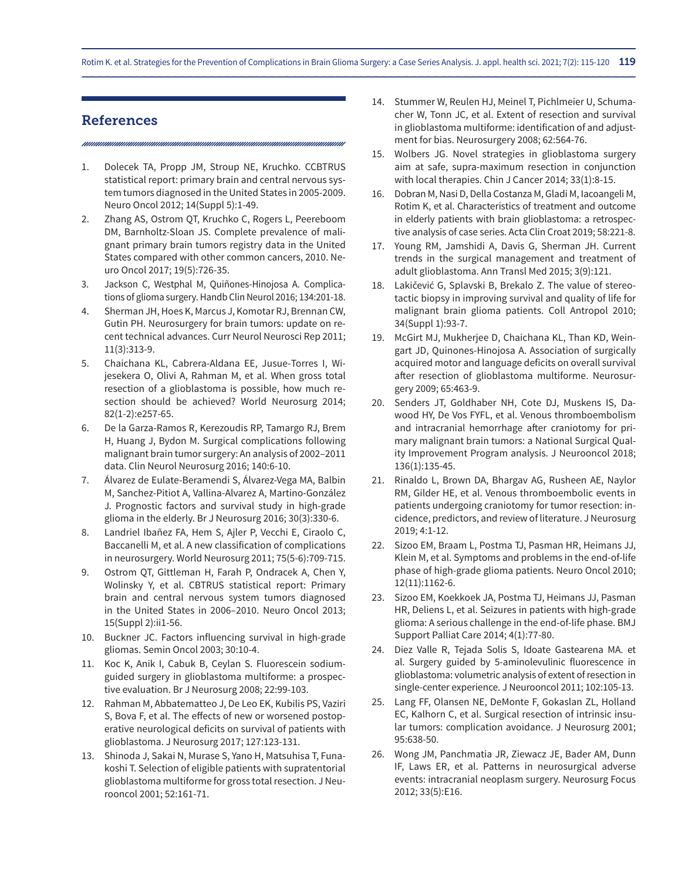Rotim K. et al. Strategies for the Prevention of Complications in Brain Glioma Surgery: a Case Series Analysis. J. appl. health sci. 2021; 7(2): 115-120 119

# References

- 1. Dolecek TA, Propp JM, Stroup NE, Kruchko. CCBTRUS statistical report: primary brain and central nervous system tumors diagnosed in the United States in 2005-2009. Neuro Oncol 2012; 14(Suppl 5):1-49.
- 2. Zhang AS, Ostrom QT, Kruchko C, Rogers L, Peereboom DM, Barnholtz-Sloan JS. Complete prevalence of malignant primary brain tumors registry data in the United States compared with other common cancers, 2010. Neuro Oncol 2017; 19(5):726-35.
- 3. Jackson C, Westphal M, Quiñones-Hinojosa A. Complications of glioma surgery. Handb Clin Neurol 2016; 134:201-18.
- 4. Sherman JH, Hoes K, Marcus J, Komotar RJ, Brennan CW, Gutin PH. Neurosurgery for brain tumors: update on recent technical advances. Curr Neurol Neurosci Rep 2011; 11(3):313-9.
- 5. Chaichana KL, Cabrera-Aldana EE, Jusue-Torres I, Wijesekera O, Olivi A, Rahman M, et al. When gross total resection of a glioblastoma is possible, how much resection should be achieved? World Neurosurg 2014; 82(1-2):e257-65.
- 6. De la Garza-Ramos R, Kerezoudis RP, Tamargo RJ, Brem H, Huang J, Bydon M. Surgical complications following malignant brain tumor surgery: An analysis of 2002–2011 data. Clin Neurol Neurosurg 2016; 140:6-10.
- 7. Álvarez de Eulate-Beramendi S, Álvarez-Vega MA, Balbin M, Sanchez-Pitiot A, Vallina-Alvarez A, Martino-González J. Prognostic factors and survival study in high-grade glioma in the elderly. Br J Neurosurg 2016; 30(3):330-6.
- 8. Landriel Ibañez FA, Hem S, Ajler P, Vecchi E, Ciraolo C, Baccanelli M, et al. A new classification of complications in neurosurgery. World Neurosurg 2011; 75(5-6):709-715.
- 9. Ostrom QT, Gittleman H, Farah P, Ondracek A, Chen Y, Wolinsky Y, et al. CBTRUS statistical report: Primary brain and central nervous system tumors diagnosed in the United States in 2006–2010. Neuro Oncol 2013; 15(Suppl 2):ii1-56.
- 10. Buckner JC. Factors influencing survival in high-grade gliomas. Semin Oncol 2003; 30:10-4.
- 11. Koc K, Anik I, Cabuk B, Ceylan S. Fluorescein sodiumguided surgery in glioblastoma multiforme: a prospective evaluation. Br J Neurosurg 2008; 22:99-103.
- 12. Rahman M, Abbatematteo J, De Leo EK, Kubilis PS, Vaziri S, Bova F, et al. The effects of new or worsened postoperative neurological deficits on survival of patients with glioblastoma. J Neurosurg 2017; 127:123-131.
- 13. Shinoda J, Sakai N, Murase S, Yano H, Matsuhisa T, Funakoshi T. Selection of eligible patients with supratentorial glioblastoma multiforme for gross total resection. J Neurooncol 2001; 52:161-71.
- 14. Stummer W, Reulen HJ, Meinel T, Pichlmeier U, Schumacher W, Tonn JC, et al. Extent of resection and survival in glioblastoma multiforme: identification of and adjustment for bias. Neurosurgery 2008; 62:564-76.
- 15. Wolbers JG. Novel strategies in glioblastoma surgery aim at safe, supra-maximum resection in conjunction with local therapies. Chin J Cancer 2014; 33(1):8-15.
- 16. Dobran M, Nasi D, Della Costanza M, Gladi M, Iacoangeli M, Rotim K, et al. Characteristics of treatment and outcome in elderly patients with brain glioblastoma: a retrospective analysis of case series. Acta Clin Croat 2019; 58:221-8.
- 17. Young RM, Jamshidi A, Davis G, Sherman JH. Current trends in the surgical management and treatment of adult glioblastoma. Ann Transl Med 2015; 3(9):121.
- 18. Lakičević G, Splavski B, Brekalo Z. The value of stereotactic biopsy in improving survival and quality of life for malignant brain glioma patients. Coll Antropol 2010; 34(Suppl 1):93-7.
- 19. McGirt MJ, Mukherjee D, Chaichana KL, Than KD, Weingart JD, Quinones-Hinojosa A. Association of surgically acquired motor and language deficits on overall survival after resection of glioblastoma multiforme. Neurosurgery 2009; 65:463-9.
- 20. Senders JT, Goldhaber NH, Cote DJ, Muskens IS, Dawood HY, De Vos FYFL, et al. Venous thromboembolism and intracranial hemorrhage after craniotomy for primary malignant brain tumors: a National Surgical Quality Improvement Program analysis. J Neurooncol 2018; 136(1):135-45.
- 21. Rinaldo L, Brown DA, Bhargav AG, Rusheen AE, Naylor RM, Gilder HE, et al. Venous thromboembolic events in patients undergoing craniotomy for tumor resection: incidence, predictors, and review of literature. J Neurosurg 2019; 4:1-12.
- 22. Sizoo EM, Braam L, Postma TJ, Pasman HR, Heimans JJ, Klein M, et al. Symptoms and problems in the end-of-life phase of high-grade glioma patients. Neuro Oncol 2010; 12(11):1162-6.
- 23. Sizoo EM, Koekkoek JA, Postma TJ, Heimans JJ, Pasman HR, Deliens L, et al. Seizures in patients with high-grade glioma: A serious challenge in the end-of-life phase. BMJ Support Palliat Care 2014; 4(1):77-80.
- 24. Diez Valle R, Tejada Solis S, Idoate Gastearena MA. et al. Surgery guided by 5-aminolevulinic fluorescence in glioblastoma: volumetric analysis of extent of resection in single-center experience. J Neurooncol 2011; 102:105-13.
- 25. Lang FF, Olansen NE, DeMonte F, Gokaslan ZL, Holland EC, Kalhorn C, et al. Surgical resection of intrinsic insular tumors: complication avoidance. J Neurosurg 2001; 95:638-50.
- 26. Wong JM, Panchmatia JR, Ziewacz JE, Bader AM, Dunn IF, Laws ER, et al. Patterns in neurosurgical adverse events: intracranial neoplasm surgery. Neurosurg Focus 2012; 33(5):E16.